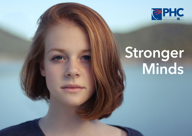

# Stronger Minds